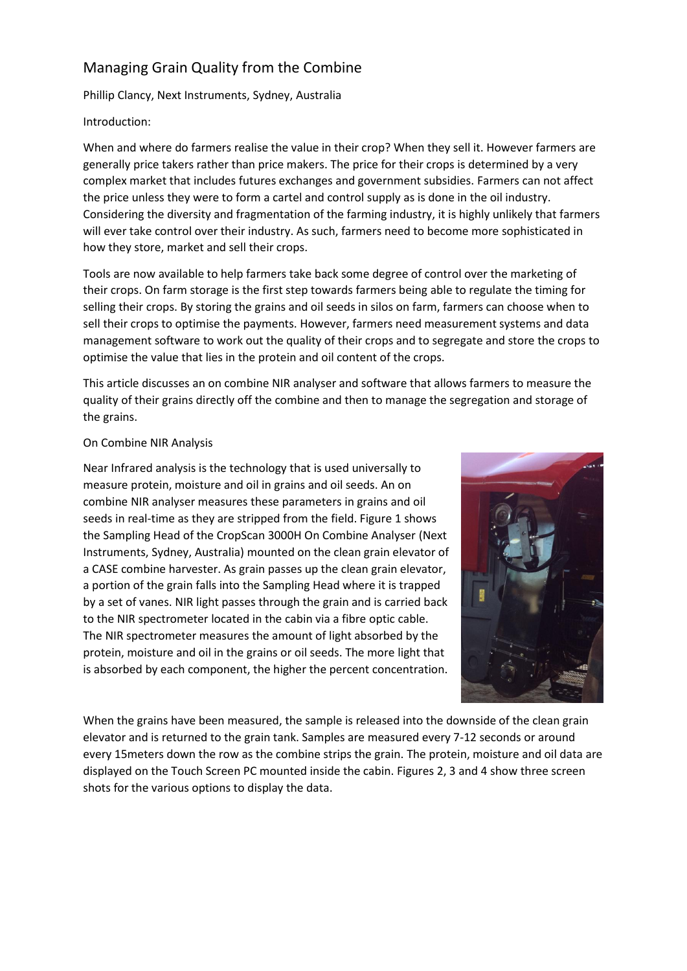# Managing Grain Quality from the Combine

Phillip Clancy, Next Instruments, Sydney, Australia

## Introduction:

When and where do farmers realise the value in their crop? When they sell it. However farmers are generally price takers rather than price makers. The price for their crops is determined by a very complex market that includes futures exchanges and government subsidies. Farmers can not affect the price unless they were to form a cartel and control supply as is done in the oil industry. Considering the diversity and fragmentation of the farming industry, it is highly unlikely that farmers will ever take control over their industry. As such, farmers need to become more sophisticated in how they store, market and sell their crops.

Tools are now available to help farmers take back some degree of control over the marketing of their crops. On farm storage is the first step towards farmers being able to regulate the timing for selling their crops. By storing the grains and oil seeds in silos on farm, farmers can choose when to sell their crops to optimise the payments. However, farmers need measurement systems and data management software to work out the quality of their crops and to segregate and store the crops to optimise the value that lies in the protein and oil content of the crops.

This article discusses an on combine NIR analyser and software that allows farmers to measure the quality of their grains directly off the combine and then to manage the segregation and storage of the grains.

### On Combine NIR Analysis

Near Infrared analysis is the technology that is used universally to measure protein, moisture and oil in grains and oil seeds. An on combine NIR analyser measures these parameters in grains and oil seeds in real-time as they are stripped from the field. Figure 1 shows the Sampling Head of the CropScan 3000H On Combine Analyser (Next Instruments, Sydney, Australia) mounted on the clean grain elevator of a CASE combine harvester. As grain passes up the clean grain elevator, a portion of the grain falls into the Sampling Head where it is trapped by a set of vanes. NIR light passes through the grain and is carried back to the NIR spectrometer located in the cabin via a fibre optic cable. The NIR spectrometer measures the amount of light absorbed by the protein, moisture and oil in the grains or oil seeds. The more light that is absorbed by each component, the higher the percent concentration.



When the grains have been measured, the sample is released into the downside of the clean grain elevator and is returned to the grain tank. Samples are measured every 7-12 seconds or around every 15meters down the row as the combine strips the grain. The protein, moisture and oil data are displayed on the Touch Screen PC mounted inside the cabin. Figures 2, 3 and 4 show three screen shots for the various options to display the data.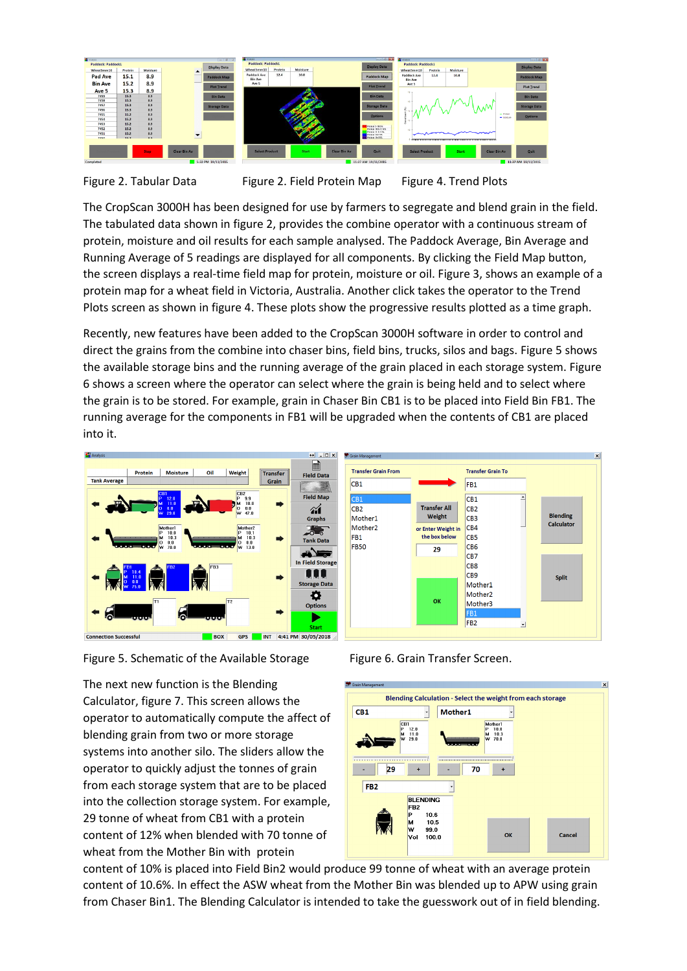

Figure 2. Tabular Data Figure 2. Field Protein Map Figure 4. Trend Plots

The CropScan 3000H has been designed for use by farmers to segregate and blend grain in the field. The tabulated data shown in figure 2, provides the combine operator with a continuous stream of protein, moisture and oil results for each sample analysed. The Paddock Average, Bin Average and Running Average of 5 readings are displayed for all components. By clicking the Field Map button, the screen displays a real-time field map for protein, moisture or oil. Figure 3, shows an example of a protein map for a wheat field in Victoria, Australia. Another click takes the operator to the Trend Plots screen as shown in figure 4. These plots show the progressive results plotted as a time graph.

Recently, new features have been added to the CropScan 3000H software in order to control and direct the grains from the combine into chaser bins, field bins, trucks, silos and bags. Figure 5 shows the available storage bins and the running average of the grain placed in each storage system. Figure 6 shows a screen where the operator can select where the grain is being held and to select where the grain is to be stored. For example, grain in Chaser Bin CB1 is to be placed into Field Bin FB1. The running average for the components in FB1 will be upgraded when the contents of CB1 are placed into it.



Figure 5. Schematic of the Available Storage Figure 6. Grain Transfer Screen.

The next new function is the Blending Calculator, figure 7. This screen allows the operator to automatically compute the affect of blending grain from two or more storage systems into another silo. The sliders allow the operator to quickly adjust the tonnes of grain from each storage system that are to be placed into the collection storage system. For example, 29 tonne of wheat from CB1 with a protein content of 12% when blended with 70 tonne of wheat from the Mother Bin with protein



nding

Calculato

Split

content of 10% is placed into Field Bin2 would produce 99 tonne of wheat with an average protein content of 10.6%. In effect the ASW wheat from the Mother Bin was blended up to APW using grain from Chaser Bin1. The Blending Calculator is intended to take the guesswork out of in field blending.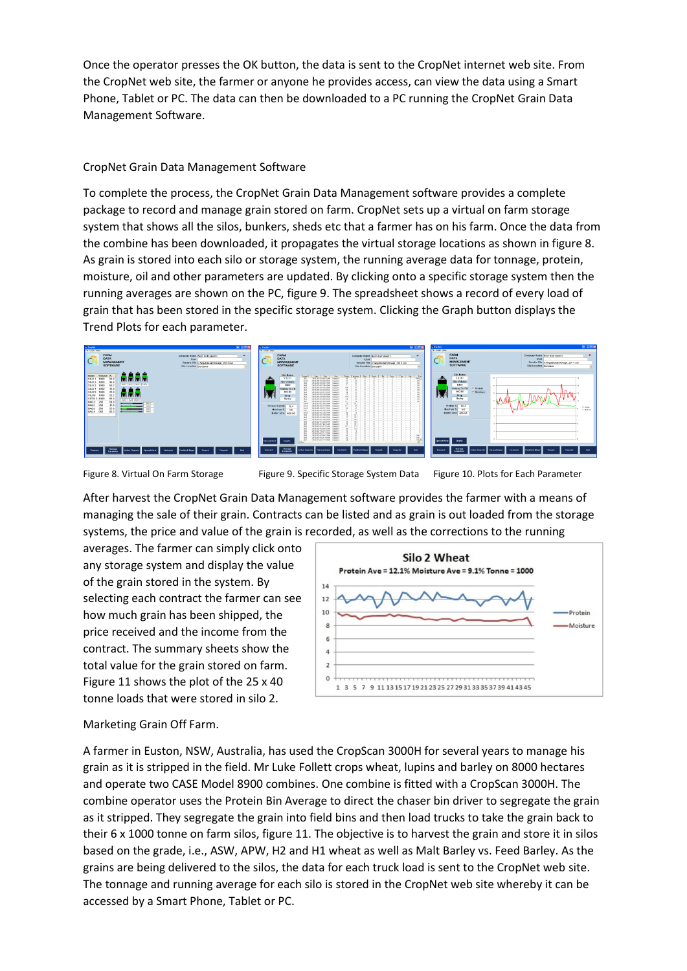Once the operator presses the OK button, the data is sent to the CropNet internet web site. From the CropNet web site, the farmer or anyone he provides access, can view the data using a Smart Phone, Tablet or PC. The data can then be downloaded to a PC running the CropNet Grain Data Management Software.

### CropNet Grain Data Management Software

To complete the process, the CropNet Grain Data Management software provides a complete package to record and manage grain stored on farm. CropNet sets up a virtual on farm storage system that shows all the silos, bunkers, sheds etc that a farmer has on his farm. Once the data from the combine has been downloaded, it propagates the virtual storage locations as shown in figure 8. As grain is stored into each silo or storage system, the running average data for tonnage, protein, moisture, oil and other parameters are updated. By clicking onto a specific storage system then the running averages are shown on the PC, figure 9. The spreadsheet shows a record of every load of grain that has been stored in the specific storage system. Clicking the Graph button displays the Trend Plots for each parameter.



Figure 8. Virtual On Farm Storage Figure 9. Specific Storage System Data Figure 10. Plots for Each Parameter

After harvest the CropNet Grain Data Management software provides the farmer with a means of managing the sale of their grain. Contracts can be listed and as grain is out loaded from the storage systems, the price and value of the grain is recorded, as well as the corrections to the running

averages. The farmer can simply click onto any storage system and display the value of the grain stored in the system. By selecting each contract the farmer can see how much grain has been shipped, the price received and the income from the contract. The summary sheets show the total value for the grain stored on farm. Figure 11 shows the plot of the 25 x 40 tonne loads that were stored in silo 2.



# Marketing Grain Off Farm.

A farmer in Euston, NSW, Australia, has used the CropScan 3000H for several years to manage his grain as it is stripped in the field. Mr Luke Follett crops wheat, lupins and barley on 8000 hectares and operate two CASE Model 8900 combines. One combine is fitted with a CropScan 3000H. The combine operator uses the Protein Bin Average to direct the chaser bin driver to segregate the grain as it stripped. They segregate the grain into field bins and then load trucks to take the grain back to their 6 x 1000 tonne on farm silos, figure 11. The objective is to harvest the grain and store it in silos based on the grade, i.e., ASW, APW, H2 and H1 wheat as well as Malt Barley vs. Feed Barley. As the grains are being delivered to the silos, the data for each truck load is sent to the CropNet web site. The tonnage and running average for each silo is stored in the CropNet web site whereby it can be accessed by a Smart Phone, Tablet or PC.